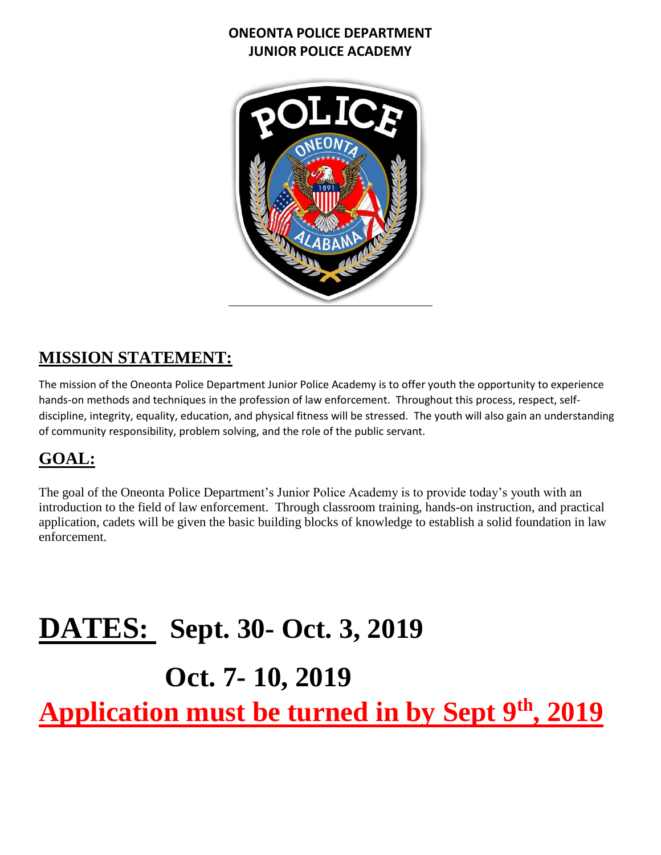

# **MISSION STATEMENT:**

The mission of the Oneonta Police Department Junior Police Academy is to offer youth the opportunity to experience hands-on methods and techniques in the profession of law enforcement. Throughout this process, respect, selfdiscipline, integrity, equality, education, and physical fitness will be stressed. The youth will also gain an understanding of community responsibility, problem solving, and the role of the public servant.

## **GOAL:**

The goal of the Oneonta Police Department's Junior Police Academy is to provide today's youth with an introduction to the field of law enforcement. Through classroom training, hands-on instruction, and practical application, cadets will be given the basic building blocks of knowledge to establish a solid foundation in law enforcement.

# **DATES: Sept. 30- Oct. 3, 2019**

# **Oct. 7- 10, 2019**

**Application must be turned in by Sept 9th, 2019**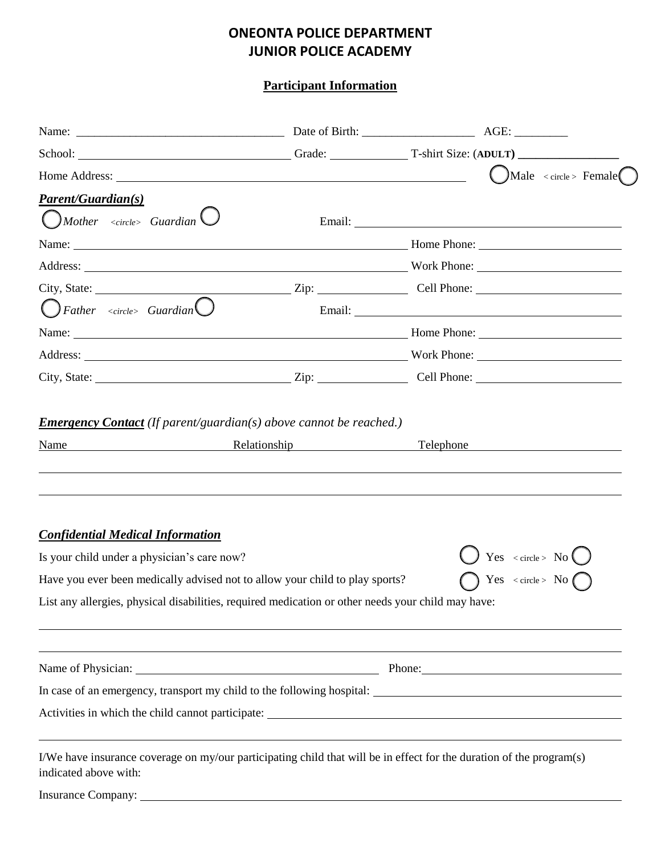**Participant Information**

℩

|                                                                                                    |  | School: Crade: Crade: T-shirt Size: (ADULT)                                                                                                                                                                                    |  |
|----------------------------------------------------------------------------------------------------|--|--------------------------------------------------------------------------------------------------------------------------------------------------------------------------------------------------------------------------------|--|
|                                                                                                    |  | $\bigcup$ Male < circle > Female                                                                                                                                                                                               |  |
| <b>Parent/Guardian(s)</b>                                                                          |  |                                                                                                                                                                                                                                |  |
| $\bigcirc$ Mother <circle> Guardian <math>\bigcirc</math></circle>                                 |  | Email: No. 2014 19:20 April 2014 19:20 April 2014 19:20 April 2014 19:20 April 2014 19:20 April 2014 19:20 April 2014 19:20 April 2014 19:20 April 2014 19:20 April 2014 19:20 April 2014 19:20 April 2014 19:20 April 2014 19 |  |
|                                                                                                    |  | Name: Name: Name: Name: Name: Name: Name: Name: Name: Name: Name: Name: Name: Name: Name: Name: Name: Name: Name: Name: Name: Name: Name: Name: Name: Name: Name: Name: Name: Name: Name: Name: Name: Name: Name: Name: Name:  |  |
|                                                                                                    |  | Address: North Phone: North Phone: North Phone: North Phone: North Phone: North Phone: North Phone: North Phone: North Phone: North Phone: North Phone: North Phone: North Phone: North Phone: North Phone: North Phone: North |  |
|                                                                                                    |  |                                                                                                                                                                                                                                |  |
| $\overline{\bigcirc}$ Father <circle> Guardian<math>\overline{\bigcirc}</math></circle>            |  | Email: The contract of the contract of the contract of the contract of the contract of the contract of the contract of the contract of the contract of the contract of the contract of the contract of the contract of the con |  |
|                                                                                                    |  |                                                                                                                                                                                                                                |  |
|                                                                                                    |  | Address: North Phone: North Phone: North Phone: North Phone: North Phone: North Phone: North Phone: North Phone: North Phone: North Phone: North Phone: North Phone: North Phone: North Phone: North Phone: North Phone: North |  |
|                                                                                                    |  |                                                                                                                                                                                                                                |  |
| <b>Confidential Medical Information</b>                                                            |  |                                                                                                                                                                                                                                |  |
| Is your child under a physician's care now?                                                        |  | Yes < circle > $No$                                                                                                                                                                                                            |  |
| Have you ever been medically advised not to allow your child to play sports?                       |  | $\bigcap$ Yes < circle > No $\bigcap$                                                                                                                                                                                          |  |
| List any allergies, physical disabilities, required medication or other needs your child may have: |  |                                                                                                                                                                                                                                |  |
|                                                                                                    |  |                                                                                                                                                                                                                                |  |
|                                                                                                    |  |                                                                                                                                                                                                                                |  |
|                                                                                                    |  |                                                                                                                                                                                                                                |  |
| indicated above with:                                                                              |  | I/We have insurance coverage on my/our participating child that will be in effect for the duration of the program(s)                                                                                                           |  |
|                                                                                                    |  |                                                                                                                                                                                                                                |  |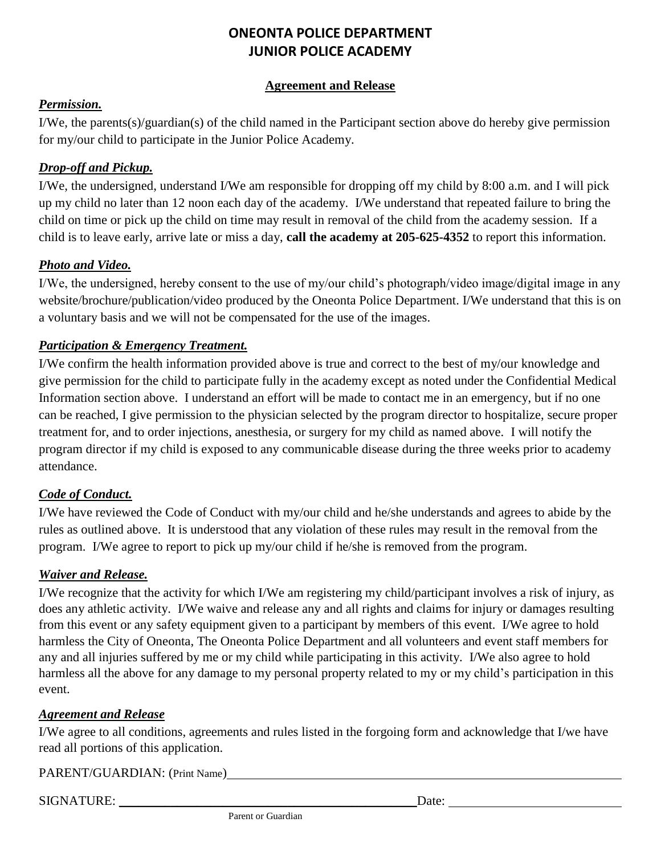#### **Agreement and Release**

#### *Permission.*

I/We, the parents(s)/guardian(s) of the child named in the Participant section above do hereby give permission for my/our child to participate in the Junior Police Academy.

#### *Drop-off and Pickup.*

I/We, the undersigned, understand I/We am responsible for dropping off my child by 8:00 a.m. and I will pick up my child no later than 12 noon each day of the academy. I/We understand that repeated failure to bring the child on time or pick up the child on time may result in removal of the child from the academy session. If a child is to leave early, arrive late or miss a day, **call the academy at 205-625-4352** to report this information.

#### *Photo and Video.*

I/We, the undersigned, hereby consent to the use of my/our child's photograph/video image/digital image in any website/brochure/publication/video produced by the Oneonta Police Department. I/We understand that this is on a voluntary basis and we will not be compensated for the use of the images.

#### *Participation & Emergency Treatment.*

I/We confirm the health information provided above is true and correct to the best of my/our knowledge and give permission for the child to participate fully in the academy except as noted under the Confidential Medical Information section above. I understand an effort will be made to contact me in an emergency, but if no one can be reached, I give permission to the physician selected by the program director to hospitalize, secure proper treatment for, and to order injections, anesthesia, or surgery for my child as named above. I will notify the program director if my child is exposed to any communicable disease during the three weeks prior to academy attendance.

#### *Code of Conduct.*

I/We have reviewed the Code of Conduct with my/our child and he/she understands and agrees to abide by the rules as outlined above. It is understood that any violation of these rules may result in the removal from the program. I/We agree to report to pick up my/our child if he/she is removed from the program.

#### *Waiver and Release.*

I/We recognize that the activity for which I/We am registering my child/participant involves a risk of injury, as does any athletic activity. I/We waive and release any and all rights and claims for injury or damages resulting from this event or any safety equipment given to a participant by members of this event. I/We agree to hold harmless the City of Oneonta, The Oneonta Police Department and all volunteers and event staff members for any and all injuries suffered by me or my child while participating in this activity. I/We also agree to hold harmless all the above for any damage to my personal property related to my or my child's participation in this event.

#### *Agreement and Release*

I/We agree to all conditions, agreements and rules listed in the forgoing form and acknowledge that I/we have read all portions of this application.

PARENT/GUARDIAN: (Print Name)

SIGNATURE: \_\_\_\_\_\_\_\_\_\_\_\_\_\_\_\_\_\_\_\_\_\_\_\_\_\_\_\_\_\_\_\_\_\_\_\_\_\_\_\_\_\_\_\_\_\_Date: